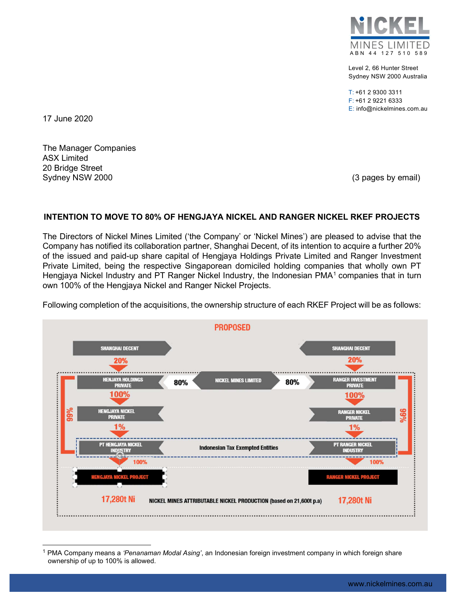

Level 2, 66 Hunter Street Sydney NSW 2000 Australia

T: +61 2 9300 3311 F: +61 2 9221 6333 E: info@nickelmines.com.au

17 June 2020

The Manager Companies ASX Limited 20 Bridge Street Sydney NSW 2000 **(3)** pages by email) Sydney NSW 2000

## INTENTION TO MOVE TO 80% OF HENGJAYA NICKEL AND RANGER NICKEL RKEF PROJECTS

The Directors of Nickel Mines Limited ('the Company' or 'Nickel Mines') are pleased to advise that the Company has notified its collaboration partner, Shanghai Decent, of its intention to acquire a further 20% of the issued and paid-up share capital of Hengjaya Holdings Private Limited and Ranger Investment Private Limited, being the respective Singaporean domiciled holding companies that wholly own PT Hengjaya Nickel Industry and PT Ranger Nickel Industry, the Indonesian PMA<sup>1</sup> companies that in turn own 100% of the Hengjaya Nickel and Ranger Nickel Projects.



Following completion of the acquisitions, the ownership structure of each RKEF Project will be as follows:

<sup>1</sup> PMA Company means a 'Penanaman Modal Asing', an Indonesian foreign investment company in which foreign share ownership of up to 100% is allowed.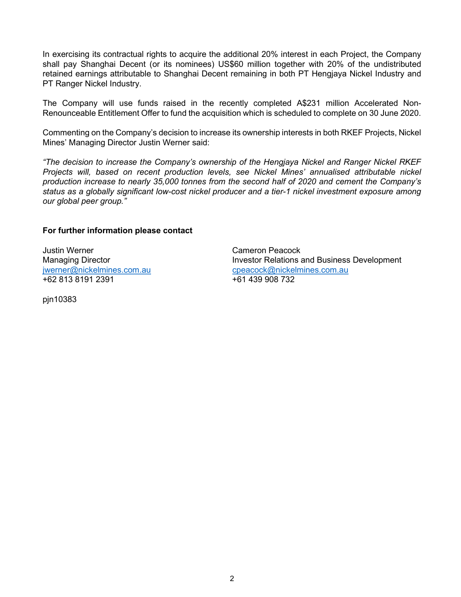In exercising its contractual rights to acquire the additional 20% interest in each Project, the Company shall pay Shanghai Decent (or its nominees) US\$60 million together with 20% of the undistributed retained earnings attributable to Shanghai Decent remaining in both PT Hengjaya Nickel Industry and PT Ranger Nickel Industry.

The Company will use funds raised in the recently completed A\$231 million Accelerated Non-Renounceable Entitlement Offer to fund the acquisition which is scheduled to complete on 30 June 2020.

Commenting on the Company's decision to increase its ownership interests in both RKEF Projects, Nickel Mines' Managing Director Justin Werner said:

"The decision to increase the Company's ownership of the Hengjaya Nickel and Ranger Nickel RKEF Projects will, based on recent production levels, see Nickel Mines' annualised attributable nickel production increase to nearly 35,000 tonnes from the second half of 2020 and cement the Company's status as a globally significant low-cost nickel producer and a tier-1 nickel investment exposure among our global peer group."

## For further information please contact

Justin Werner Cameron Peacock +62 813 8191 2391 +61 439 908 732

pjn10383

Managing Director **Investor Relations and Business Development** jwerner@nickelmines.com.au cpeacock@nickelmines.com.au